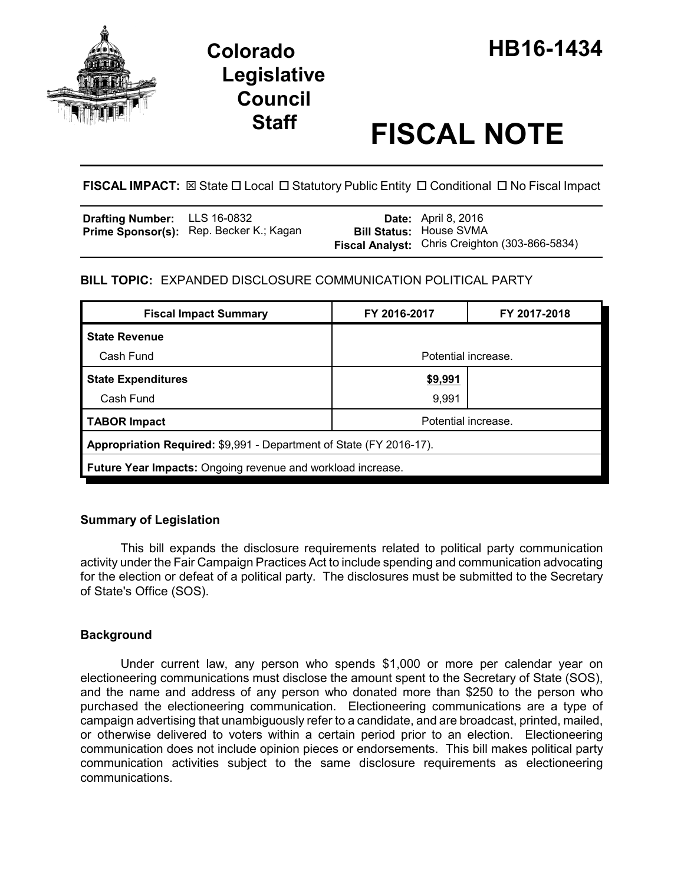

# **Legislative Council**

# **Staff FISCAL NOTE**

**FISCAL IMPACT:**  $\boxtimes$  State  $\Box$  Local  $\Box$  Statutory Public Entity  $\Box$  Conditional  $\Box$  No Fiscal Impact

| <b>Drafting Number:</b> LLS 16-0832 |                                                | <b>Date:</b> April 8, 2016                                                              |
|-------------------------------------|------------------------------------------------|-----------------------------------------------------------------------------------------|
|                                     | <b>Prime Sponsor(s):</b> Rep. Becker K.; Kagan | <b>Bill Status: House SVMA</b><br><b>Fiscal Analyst:</b> Chris Creighton (303-866-5834) |

# **BILL TOPIC:** EXPANDED DISCLOSURE COMMUNICATION POLITICAL PARTY

| <b>Fiscal Impact Summary</b>                                        | FY 2016-2017        | FY 2017-2018 |  |  |  |
|---------------------------------------------------------------------|---------------------|--------------|--|--|--|
| <b>State Revenue</b>                                                |                     |              |  |  |  |
| Cash Fund                                                           | Potential increase. |              |  |  |  |
| <b>State Expenditures</b>                                           | \$9,991             |              |  |  |  |
| Cash Fund                                                           | 9,991               |              |  |  |  |
| <b>TABOR Impact</b>                                                 | Potential increase. |              |  |  |  |
| Appropriation Required: \$9,991 - Department of State (FY 2016-17). |                     |              |  |  |  |
| <b>Future Year Impacts:</b> Ongoing revenue and workload increase.  |                     |              |  |  |  |

# **Summary of Legislation**

This bill expands the disclosure requirements related to political party communication activity under the Fair Campaign Practices Act to include spending and communication advocating for the election or defeat of a political party. The disclosures must be submitted to the Secretary of State's Office (SOS).

# **Background**

Under current law, any person who spends \$1,000 or more per calendar year on electioneering communications must disclose the amount spent to the Secretary of State (SOS), and the name and address of any person who donated more than \$250 to the person who purchased the electioneering communication. Electioneering communications are a type of campaign advertising that unambiguously refer to a candidate, and are broadcast, printed, mailed, or otherwise delivered to voters within a certain period prior to an election. Electioneering communication does not include opinion pieces or endorsements. This bill makes political party communication activities subject to the same disclosure requirements as electioneering communications.